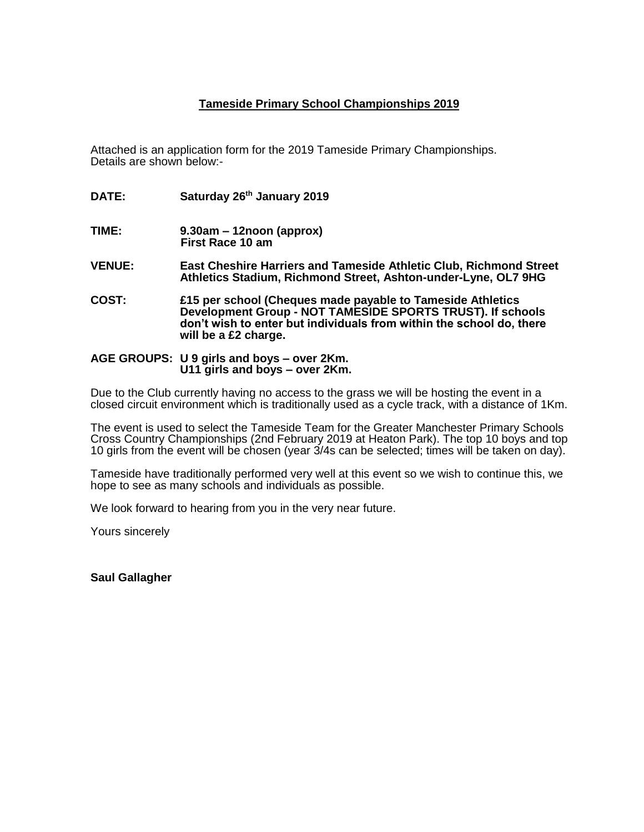## **Tameside Primary School Championships 2019**

Attached is an application form for the 2019 Tameside Primary Championships. Details are shown below:-

- **DATE: Saturday 26th January 2019**
- **TIME: 9.30am – 12noon (approx) First Race 10 am**
- **VENUE: East Cheshire Harriers and Tameside Athletic Club, Richmond Street Athletics Stadium, Richmond Street, Ashton-under-Lyne, OL7 9HG**
- **COST: £15 per school (Cheques made payable to Tameside Athletics Development Group - NOT TAMESIDE SPORTS TRUST). If schools don't wish to enter but individuals from within the school do, there will be a £2 charge.**
- **AGE GROUPS: U 9 girls and boys – over 2Km. U11 girls and boys – over 2Km.**

Due to the Club currently having no access to the grass we will be hosting the event in a closed circuit environment which is traditionally used as a cycle track, with a distance of 1Km.

The event is used to select the Tameside Team for the Greater Manchester Primary Schools Cross Country Championships (2nd February 2019 at Heaton Park). The top 10 boys and top 10 girls from the event will be chosen (year 3/4s can be selected; times will be taken on day).

Tameside have traditionally performed very well at this event so we wish to continue this, we hope to see as many schools and individuals as possible.

We look forward to hearing from you in the very near future.

Yours sincerely

**Saul Gallagher**